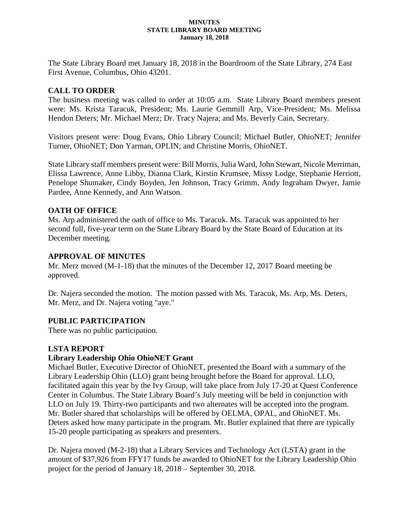#### **MINUTES STATE LIBRARY BOARD MEETING January 18, 2018**

The State Library Board met January 18, 2018 in the Boardroom of the State Library, 274 East First Avenue, Columbus, Ohio 43201.

## **CALL TO ORDER**

The business meeting was called to order at 10:05 a.m. State Library Board members present were: Ms. Krista Taracuk, President; Ms. Laurie Gemmill Arp, Vice-President; Ms. Melissa Hendon Deters; Mr. Michael Merz; Dr. Tracy Najera; and Ms. Beverly Cain, Secretary.

Visitors present were: Doug Evans, Ohio Library Council; Michael Butler, OhioNET; Jennifer Turner, OhioNET; Don Yarman, OPLIN; and Christine Morris, OhioNET.

State Library staff members present were: Bill Morris, Julia Ward,John Stewart, Nicole Merriman, Elissa Lawrence, Anne Libby, Dianna Clark, Kirstin Krumsee, Missy Lodge, Stephanie Herriott, Penelope Shumaker, Cindy Boyden, Jen Johnson, Tracy Grimm, Andy Ingraham Dwyer, Jamie Pardee, Anne Kennedy, and Ann Watson.

## **OATH OF OFFICE**

Ms. Arp administered the oath of office to Ms. Taracuk. Ms. Taracuk was appointed to her second full, five-year term on the State Library Board by the State Board of Education at its December meeting.

### **APPROVAL OF MINUTES**

Mr. Merz moved (M-1-18) that the minutes of the December 12, 2017 Board meeting be approved.

Dr. Najera seconded the motion. The motion passed with Ms. Taracuk, Ms. Arp, Ms. Deters, Mr. Merz, and Dr. Najera voting "aye."

## **PUBLIC PARTICIPATION**

There was no public participation.

## **LSTA REPORT**

## **Library Leadership Ohio OhioNET Grant**

Michael Butler, Executive Director of OhioNET, presented the Board with a summary of the Library Leadership Ohio (LLO) grant being brought before the Board for approval. LLO, facilitated again this year by the Ivy Group, will take place from July 17-20 at Quest Conference Center in Columbus. The State Library Board's July meeting will be held in conjunction with LLO on July 19. Thirty-two participants and two alternates will be accepted into the program. Mr. Butler shared that scholarships will be offered by OELMA, OPAL, and OhioNET. Ms. Deters asked how many participate in the program. Mr. Butler explained that there are typically 15-20 people participating as speakers and presenters.

Dr. Najera moved (M-2-18) that a Library Services and Technology Act (LSTA) grant in the amount of \$37,926 from FFY17 funds be awarded to OhioNET for the Library Leadership Ohio project for the period of January 18, 2018 – September 30, 2018.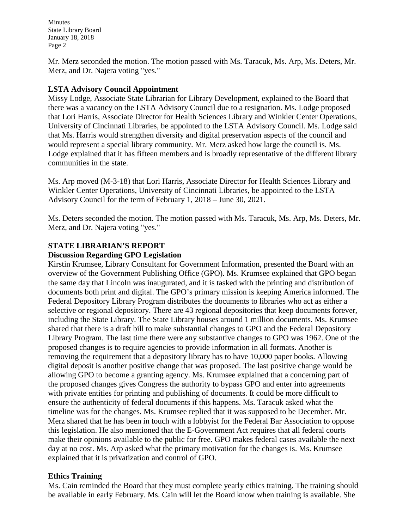Minutes State Library Board January 18, 2018 Page 2

Mr. Merz seconded the motion. The motion passed with Ms. Taracuk, Ms. Arp, Ms. Deters, Mr. Merz, and Dr. Najera voting "yes."

### **LSTA Advisory Council Appointment**

Missy Lodge, Associate State Librarian for Library Development, explained to the Board that there was a vacancy on the LSTA Advisory Council due to a resignation. Ms. Lodge proposed that Lori Harris, Associate Director for Health Sciences Library and Winkler Center Operations, University of Cincinnati Libraries, be appointed to the LSTA Advisory Council. Ms. Lodge said that Ms. Harris would strengthen diversity and digital preservation aspects of the council and would represent a special library community. Mr. Merz asked how large the council is. Ms. Lodge explained that it has fifteen members and is broadly representative of the different library communities in the state.

Ms. Arp moved (M-3-18) that Lori Harris, Associate Director for Health Sciences Library and Winkler Center Operations, University of Cincinnati Libraries, be appointed to the LSTA Advisory Council for the term of February 1, 2018 – June 30, 2021.

Ms. Deters seconded the motion. The motion passed with Ms. Taracuk, Ms. Arp, Ms. Deters, Mr. Merz, and Dr. Najera voting "yes."

## **STATE LIBRARIAN'S REPORT**

### **Discussion Regarding GPO Legislation**

Kirstin Krumsee, Library Consultant for Government Information, presented the Board with an overview of the Government Publishing Office (GPO). Ms. Krumsee explained that GPO began the same day that Lincoln was inaugurated, and it is tasked with the printing and distribution of documents both print and digital. The GPO's primary mission is keeping America informed. The Federal Depository Library Program distributes the documents to libraries who act as either a selective or regional depository. There are 43 regional depositories that keep documents forever, including the State Library. The State Library houses around 1 million documents. Ms. Krumsee shared that there is a draft bill to make substantial changes to GPO and the Federal Depository Library Program. The last time there were any substantive changes to GPO was 1962. One of the proposed changes is to require agencies to provide information in all formats. Another is removing the requirement that a depository library has to have 10,000 paper books. Allowing digital deposit is another positive change that was proposed. The last positive change would be allowing GPO to become a granting agency. Ms. Krumsee explained that a concerning part of the proposed changes gives Congress the authority to bypass GPO and enter into agreements with private entities for printing and publishing of documents. It could be more difficult to ensure the authenticity of federal documents if this happens. Ms. Taracuk asked what the timeline was for the changes. Ms. Krumsee replied that it was supposed to be December. Mr. Merz shared that he has been in touch with a lobbyist for the Federal Bar Association to oppose this legislation. He also mentioned that the E-Government Act requires that all federal courts make their opinions available to the public for free. GPO makes federal cases available the next day at no cost. Ms. Arp asked what the primary motivation for the changes is. Ms. Krumsee explained that it is privatization and control of GPO.

## **Ethics Training**

Ms. Cain reminded the Board that they must complete yearly ethics training. The training should be available in early February. Ms. Cain will let the Board know when training is available. She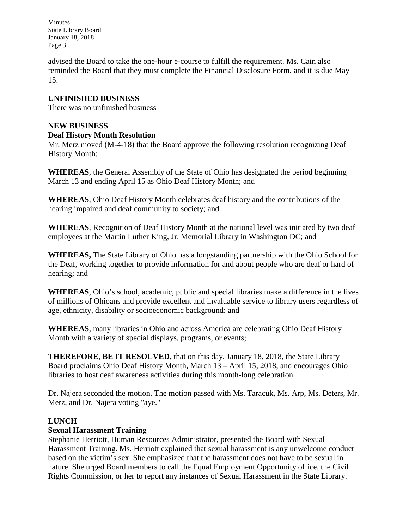Minutes State Library Board January 18, 2018 Page 3

advised the Board to take the one-hour e-course to fulfill the requirement. Ms. Cain also reminded the Board that they must complete the Financial Disclosure Form, and it is due May 15.

# **UNFINISHED BUSINESS**

There was no unfinished business

### **NEW BUSINESS**

#### **Deaf History Month Resolution**

Mr. Merz moved (M-4-18) that the Board approve the following resolution recognizing Deaf History Month:

**WHEREAS**, the General Assembly of the State of Ohio has designated the period beginning March 13 and ending April 15 as Ohio Deaf History Month; and

**WHEREAS**, Ohio Deaf History Month celebrates deaf history and the contributions of the hearing impaired and deaf community to society; and

**WHEREAS**, Recognition of Deaf History Month at the national level was initiated by two deaf employees at the Martin Luther King, Jr. Memorial Library in Washington DC; and

**WHEREAS,** The State Library of Ohio has a longstanding partnership with the Ohio School for the Deaf, working together to provide information for and about people who are deaf or hard of hearing; and

**WHEREAS**, Ohio's school, academic, public and special libraries make a difference in the lives of millions of Ohioans and provide excellent and invaluable service to library users regardless of age, ethnicity, disability or socioeconomic background; and

**WHEREAS**, many libraries in Ohio and across America are celebrating Ohio Deaf History Month with a variety of special displays, programs, or events;

**THEREFORE**, **BE IT RESOLVED**, that on this day, January 18, 2018, the State Library Board proclaims Ohio Deaf History Month, March 13 – April 15, 2018, and encourages Ohio libraries to host deaf awareness activities during this month-long celebration.

Dr. Najera seconded the motion. The motion passed with Ms. Taracuk, Ms. Arp, Ms. Deters, Mr. Merz, and Dr. Najera voting "aye."

## **LUNCH**

#### **Sexual Harassment Training**

Stephanie Herriott, Human Resources Administrator, presented the Board with Sexual Harassment Training. Ms. Herriott explained that sexual harassment is any unwelcome conduct based on the victim's sex. She emphasized that the harassment does not have to be sexual in nature. She urged Board members to call the Equal Employment Opportunity office, the Civil Rights Commission, or her to report any instances of Sexual Harassment in the State Library.